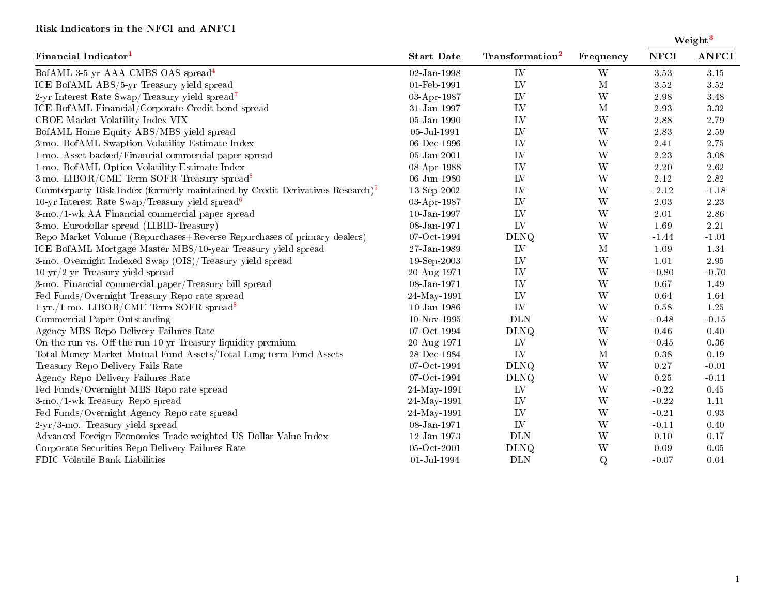## Risk Indicators in the NFCI and ANFCI

Weight<sup>[3](#page-1-0)</sup>

| Financial Indicator <sup>1</sup>                                                          | <b>Start Date</b> | Transformation <sup>2</sup> | Frequency               | <b>NFCI</b> | <b>ANFCI</b> |
|-------------------------------------------------------------------------------------------|-------------------|-----------------------------|-------------------------|-------------|--------------|
| BofAML 3-5 yr AAA CMBS OAS spread <sup>4</sup>                                            | 02-Jan-1998       | LV                          | W                       | 3.53        | $3.15\,$     |
| ICE BofAML ABS/5-yr Treasury yield spread                                                 | 01-Feb-1991       | LV                          | $\mathbf M$             | 3.52        | 3.52         |
| 2-yr Interest Rate Swap/Treasury yield spread <sup>7</sup>                                | 03-Apr-1987       | LV                          | W                       | 2.98        | 3.48         |
| ICE BofAML Financial/Corporate Credit bond spread                                         | 31-Jan-1997       | LV                          | $\mathbf M$             | 2.93        | $3.32\,$     |
| CBOE Market Volatility Index VIX                                                          | $05$ -Jan-1990    | LV                          | W                       | 2.88        | 2.79         |
| BofAML Home Equity ABS/MBS yield spread                                                   | 05-Jul-1991       | LV                          | $\ensuremath{\text{W}}$ | 2.83        | $2.59\,$     |
| 3-mo. BofAML Swaption Volatility Estimate Index                                           | $06$ -Dec-1996    | LV                          | $\ensuremath{\text{W}}$ | 2.41        | $2.75\,$     |
| 1-mo. Asset-backed/Financial commercial paper spread                                      | 05-Jan-2001       | LV                          | $\ensuremath{\text{W}}$ | 2.23        | 3.08         |
| 1-mo. BofAML Option Volatility Estimate Index                                             | 08-Apr-1988       | LV                          | W                       | 2.20        | 2.62         |
| 3-mo. LIBOR/CME Term SOFR-Treasury spread <sup>8</sup>                                    | 06-Jun-1980       | LV                          | $\ensuremath{\text{W}}$ | 2.12        | 2.82         |
| Counterparty Risk Index (formerly maintained by Credit Derivatives Research) <sup>5</sup> | 13-Sep-2002       | LV                          | W                       | $-2.12$     | $-1.18$      |
| 10-yr Interest Rate Swap/Treasury yield spread <sup>6</sup>                               | 03-Apr-1987       | LV                          | W                       | 2.03        | 2.23         |
| 3-mo./1-wk AA Financial commercial paper spread                                           | $10 - Jan - 1997$ | LV                          | $\ensuremath{\text{W}}$ | 2.01        | 2.86         |
| 3-mo. Eurodollar spread (LIBID-Treasury)                                                  | 08-Jan-1971       | LV                          | W                       | 1.69        | $2.21\,$     |
| Repo Market Volume (Repurchases+Reverse Repurchases of primary dealers)                   | 07-Oct-1994       | <b>DLNQ</b>                 | $\ensuremath{\text{W}}$ | $-1.44$     | $-1.01$      |
| ICE BofAML Mortgage Master MBS/10-year Treasury yield spread                              | 27-Jan-1989       | LV                          | $\mathbf M$             | 1.09        | 1.34         |
| 3-mo. Overnight Indexed Swap (OIS)/Treasury yield spread                                  | $19-Sep-2003$     | LV                          | $\ensuremath{\text{W}}$ | 1.01        | $2.95\,$     |
| $10-yr/2-yr$ Treasury yield spread                                                        | 20-Aug-1971       | LV                          | W                       | $-0.80$     | $-0.70$      |
| 3-mo. Financial commercial paper/Treasury bill spread                                     | 08-Jan-1971       | LV                          | W                       | 0.67        | 1.49         |
| Fed Funds/Overnight Treasury Repo rate spread                                             | 24-May-1991       | LV                          | $\ensuremath{\text{W}}$ | 0.64        | 1.64         |
| $1-\text{yr}$ ./1-mo. LIBOR/CME Term SOFR spread <sup>8</sup>                             | $10$ -Jan-1986    | LV                          | W                       | 0.58        | 1.25         |
| Commercial Paper Outstanding                                                              | 10-Nov-1995       | <b>DLN</b>                  | $\ensuremath{\text{W}}$ | $-0.48$     | $-0.15$      |
| Agency MBS Repo Delivery Failures Rate                                                    | 07-Oct-1994       | <b>DLNQ</b>                 | W                       | 0.46        | 0.40         |
| On-the-run vs. Off-the-run 10-yr Treasury liquidity premium                               | 20-Aug-1971       | LV                          | W                       | $-0.45$     | 0.36         |
| Total Money Market Mutual Fund Assets/Total Long-term Fund Assets                         | 28-Dec-1984       | LV                          | $\mathbf M$             | $0.38\,$    | 0.19         |
| Treasury Repo Delivery Fails Rate                                                         | 07-Oct-1994       | <b>DLNQ</b>                 | W                       | $0.27\,$    | $-0.01$      |
| Agency Repo Delivery Failures Rate                                                        | 07-Oct-1994       | <b>DLNQ</b>                 | W                       | 0.25        | $-0.11$      |
| Fed Funds/Overnight MBS Repo rate spread                                                  | 24-May-1991       | LV                          | W                       | $-0.22$     | 0.45         |
| 3-mo./1-wk Treasury Repo spread                                                           | 24-May-1991       | LV                          | $\ensuremath{\text{W}}$ | $-0.22$     | 1.11         |
| Fed Funds/Overnight Agency Repo rate spread                                               | 24-May-1991       | LV                          | W                       | $-0.21$     | 0.93         |
| $2-yr/3$ -mo. Treasury yield spread                                                       | 08-Jan-1971       | LV                          | W                       | $-0.11$     | 0.40         |
| Advanced Foreign Economies Trade-weighted US Dollar Value Index                           | 12-Jan-1973       | <b>DLN</b>                  | $\ensuremath{\text{W}}$ | 0.10        | 0.17         |
| Corporate Securities Repo Delivery Failures Rate                                          | 05-Oct-2001       | <b>DLNQ</b>                 | W                       | 0.09        | 0.05         |
| FDIC Volatile Bank Liabilities                                                            | 01-Jul-1994       | <b>DLN</b>                  | $\mathbf Q$             | $-0.07$     | 0.04         |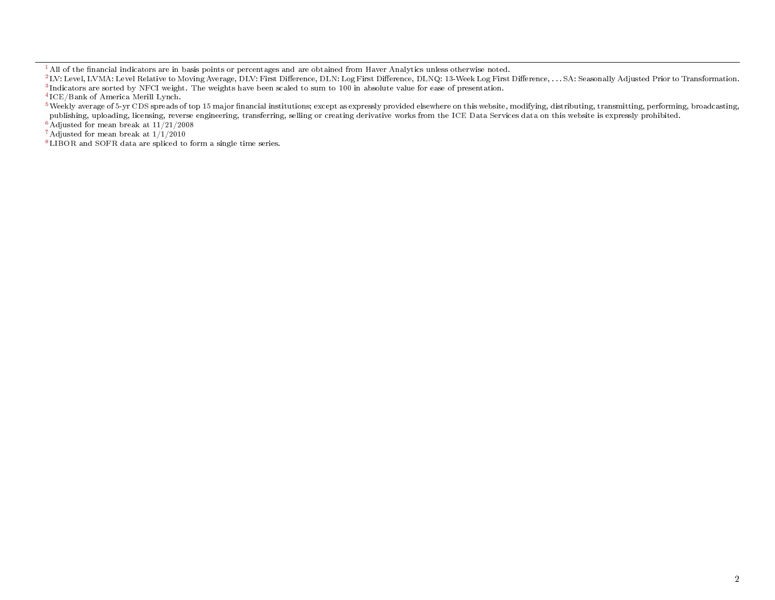<span id="page-1-1"></span> $^1$  All of the financial indicators are in basis points or percentages and are obtained from Haver Analytics unless otherwise noted.

<span id="page-1-7"></span> $6$  Adjusted for mean break at  $11/21/2008$ 

<span id="page-1-4"></span><sup>7</sup> Adjusted for mean break at 1/1/2010

<span id="page-1-5"></span><sup>8</sup> LIBOR and SOFR data are spliced to form a single time series.

<span id="page-1-2"></span><span id="page-1-0"></span> $^{2}$  LV: Level, LVMA: Level Relative to Moving Average, DLV: First Difference, DLN: Log First Difference, DLNQ: 13-Week Log First Difference, ... SA: Seasonally Adjusted Prior to Transformation.  $3$ Indicators are sorted by NFCI weight. The weights have been scaled to sum to 100 in absolute value for ease of presentation.

<span id="page-1-3"></span><sup>4</sup> ICE/Bank of America Merill Lynch.

<span id="page-1-6"></span><sup>&</sup>lt;sup>5</sup>Weekly average of 5-yr CDS spreads of top 15 major financial institutions; except as expressly provided elsewhere on this website, modifying, distributing, transmitting, performing, broadcasting, publishing, uploading, licensing, reverse engineering, transferring, selling or creating derivative works from the ICE Data Services data on this website is expressly prohibited.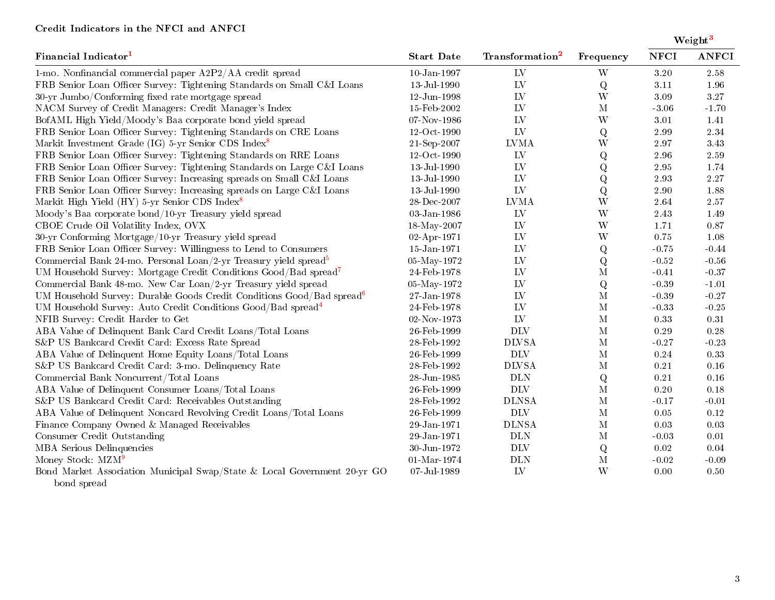## Credit Indicators in the NFCI and ANFCI

| Financial Indicator <sup>1</sup>                                                  | <b>Start Date</b> | Transformation <sup>2</sup> | Frequency    | Weight <sup>3</sup> |              |
|-----------------------------------------------------------------------------------|-------------------|-----------------------------|--------------|---------------------|--------------|
|                                                                                   |                   |                             |              | <b>NFCI</b>         | <b>ANFCI</b> |
| 1-mo. Nonfinancial commercial paper A2P2/AA credit spread                         | $10$ -Jan-1997    | LV                          | W            | 3.20                | 2.58         |
| FRB Senior Loan Officer Survey: Tightening Standards on Small C&I Loans           | 13-Jul-1990       | ${\rm LV}$                  | Q            | 3.11                | 1.96         |
| 30-yr Jumbo/Conforming fixed rate mortgage spread                                 | 12-Jun-1998       | LV                          | W            | 3.09                | 3.27         |
| NACM Survey of Credit Managers: Credit Manager's Index                            | 15-Feb-2002       | LV                          | $\mathbf M$  | $-3.06$             | $-1.70$      |
| BofAML High Yield/Moody's Baa corporate bond yield spread                         | 07-Nov-1986       | LV                          | W            | $3.01\,$            | 1.41         |
| FRB Senior Loan Officer Survey: Tightening Standards on CRE Loans                 | 12-Oct-1990       | L <sub>V</sub>              | Q            | $2.99\,$            | 2.34         |
| Markit Investment Grade (IG) 5-yr Senior CDS Index <sup>8</sup>                   | 21-Sep-2007       | <b>LVMA</b>                 | W            | $2.97\,$            | $3.43\,$     |
| FRB Senior Loan Officer Survey: Tightening Standards on RRE Loans                 | 12-Oct-1990       | ${\rm LV}$                  | ${\bf Q}$    | $2.96\,$            | $2.59\,$     |
| FRB Senior Loan Officer Survey: Tightening Standards on Large C&I Loans           | 13-Jul-1990       | LV                          | Q            | $2.95\,$            | 1.74         |
| FRB Senior Loan Officer Survey: Increasing spreads on Small C&I Loans             | 13-Jul-1990       | LV                          | ${\bf Q}$    | $2.93\,$            | $2.27\,$     |
| FRB Senior Loan Officer Survey: Increasing spreads on Large C&I Loans             | 13-Jul-1990       | ${\rm LV}$                  | Q            | $2.90\,$            | 1.88         |
| Markit High Yield (HY) 5-yr Senior CDS Index <sup>8</sup>                         | 28-Dec-2007       | <b>LVMA</b>                 | W            | 2.64                | $2.57\,$     |
| Moody's Baa corporate bond/10-yr Treasury yield spread                            | 03-Jan-1986       | ${\rm LV}$                  | W            | 2.43                | 1.49         |
| CBOE Crude Oil Volatility Index, OVX                                              | 18-May-2007       | LV                          | W            | 1.71                | 0.87         |
| 30-yr Conforming Mortgage/10-yr Treasury yield spread                             | 02-Apr-1971       | LV                          | W            | 0.75                | $1.08\,$     |
| FRB Senior Loan Officer Survey: Willingness to Lend to Consumers                  | 15-Jan-1971       | LV                          | Q            | $-0.75$             | $-0.44$      |
| Commercial Bank 24-mo. Personal Loan/2-yr Treasury yield spread <sup>5</sup>      | 05-May-1972       | LV                          | Q            | $-0.52$             | $-0.56$      |
| UM Household Survey: Mortgage Credit Conditions Good/Bad spread <sup>7</sup>      | 24-Feb-1978       | LV                          | $\mathbf M$  | $-0.41$             | $-0.37$      |
| Commercial Bank 48-mo. New Car Loan/2-yr Treasury yield spread                    | 05-May-1972       | LV                          | Q            | $-0.39$             | $-1.01$      |
| UM Household Survey: Durable Goods Credit Conditions Good/Bad spread <sup>6</sup> | $27 - Jan - 1978$ | LV                          | $\mathbf{M}$ | $-0.39$             | $-0.27$      |
| UM Household Survey: Auto Credit Conditions Good/Bad spread <sup>4</sup>          | 24-Feb-1978       | LV                          | $\mathbf{M}$ | $-0.33$             | $-0.25$      |
| NFIB Survey: Credit Harder to Get                                                 | 02-Nov-1973       | LV                          | $\mathbf M$  | 0.33                | 0.31         |
| ABA Value of Delinquent Bank Card Credit Loans/Total Loans                        | 26-Feb-1999       | <b>DLV</b>                  | $\mathbf M$  | $0.29\,$            | 0.28         |
| S&P US Bankcard Credit Card: Excess Rate Spread                                   | 28-Feb-1992       | <b>DLVSA</b>                | $\mathbf{M}$ | $-0.27$             | $-0.23$      |
| ABA Value of Delinquent Home Equity Loans/Total Loans                             | 26-Feb-1999       | <b>DLV</b>                  | $\mathbf M$  | 0.24                | 0.33         |
| S&P US Bankcard Credit Card: 3-mo. Delinquency Rate                               | 28-Feb-1992       | <b>DLVSA</b>                | $\mathbf M$  | 0.21                | 0.16         |
| Commercial Bank Noncurrent/Total Loans                                            | 28-Jun-1985       | <b>DLN</b>                  | Q            | 0.21                | 0.16         |
| ABA Value of Delinquent Consumer Loans/Total Loans                                | 26-Feb-1999       | <b>DLV</b>                  | $\mathbf M$  | 0.20                | 0.18         |
| S&P US Bankcard Credit Card: Receivables Outstanding                              | 28-Feb-1992       | <b>DLNSA</b>                | $\mathbf M$  | $-0.17$             | $-0.01$      |
| ABA Value of Delinquent Noncard Revolving Credit Loans/Total Loans                | 26-Feb-1999       | <b>DLV</b>                  | $\mathbf M$  | 0.05                | 0.12         |
| Finance Company Owned & Managed Receivables                                       | 29-Jan-1971       | <b>DLNSA</b>                | $\mathbf M$  | 0.03                | $0.03\,$     |
| Consumer Credit Outstanding                                                       | 29-Jan-1971       | <b>DLN</b>                  | $\mathbf M$  | $-0.03$             | $0.01\,$     |
| MBA Serious Delinquencies                                                         | 30-Jun-1972       | <b>DLV</b>                  | Q            | 0.02                | 0.04         |
| Money Stock: MZM <sup>9</sup>                                                     | $01$ -Mar-1974    | <b>DLN</b>                  | $\mathbf M$  | $-0.02$             | $-0.09$      |
| Bond Market Association Municipal Swap/State & Local Government 20-yr GO          | 07-Jul-1989       | LV                          | W            | 0.00                | 0.50         |

bond spread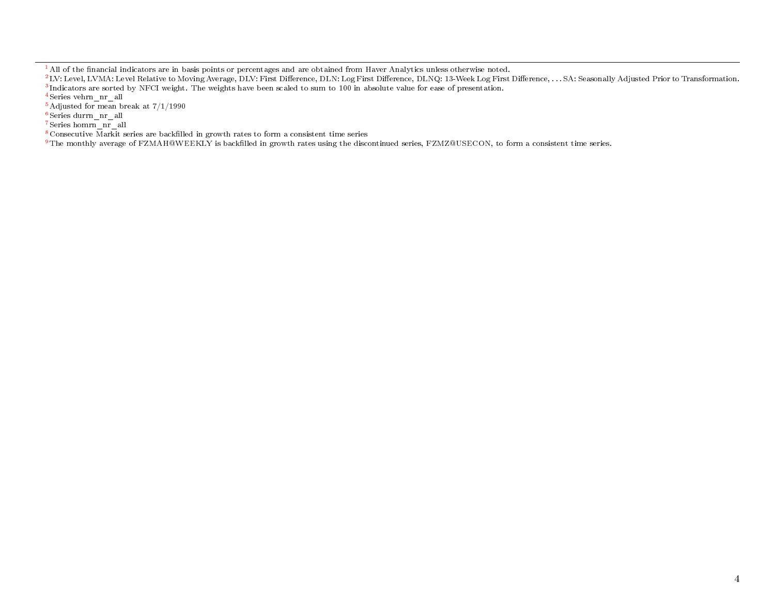<span id="page-3-1"></span> $^1$  All of the financial indicators are in basis points or percentages and are obtained from Haver Analytics unless otherwise noted.

<span id="page-3-2"></span><span id="page-3-0"></span><sup>2</sup> LV: Level, LVMA: Level Relative to Moving Average, DLV: First Difference, DLN: Log First Difference, DLNQ: 13-Week Log First Difference, . . . SA: Seasonally Adjusted Prior to Transformation.  $3$ Indicators are sorted by NFCI weight. The weights have been scaled to sum to 100 in absolute value for ease of presentation.

<span id="page-3-7"></span><sup>4</sup> Series vehrn\_nr\_all

<span id="page-3-4"></span> $^5$  Adjusted for mean break at  $7/1/1990$ 

<span id="page-3-6"></span><sup>6</sup> Series durrn\_nr\_all

<span id="page-3-5"></span><sup>7</sup> Series homrn\_nr\_all

<span id="page-3-3"></span> $8$  Consecutive Markit series are backfilled in growth rates to form a consistent time series

<span id="page-3-8"></span><sup>9</sup> The monthly average of FZMAH@WEEKLY is backfilled in growth rates using the discontinued series, FZMZ@USECON, to form a consistent time series.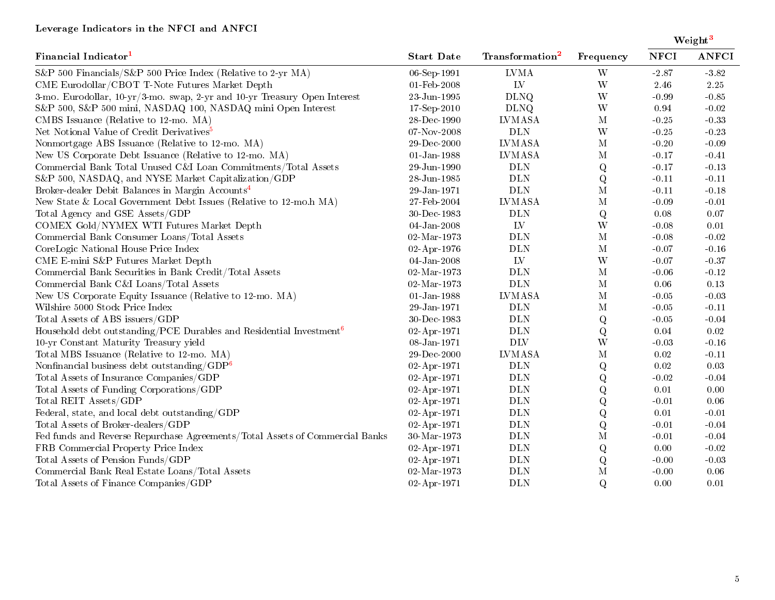## Leverage Indicators in the NFCI and ANFCI

| Financial Indicator <sup>1</sup>                                                | <b>Start Date</b> | Transformation <sup>2</sup> | Frequency               | Weight <sup>3</sup> |              |
|---------------------------------------------------------------------------------|-------------------|-----------------------------|-------------------------|---------------------|--------------|
|                                                                                 |                   |                             |                         | <b>NFCI</b>         | <b>ANFCI</b> |
| S&P 500 Financials/S&P 500 Price Index (Relative to 2-yr MA)                    | 06-Sep-1991       | <b>LVMA</b>                 | W                       | $-2.87$             | $-3.82$      |
| CME Eurodollar/CBOT T-Note Futures Market Depth                                 | 01-Feb-2008       | LV                          | W                       | 2.46                | 2.25         |
| 3-mo. Eurodollar, 10-yr/3-mo. swap, 2-yr and 10-yr Treasury Open Interest       | $23$ -Jun-1995    | <b>DLNQ</b>                 | W                       | $-0.99$             | $-0.85$      |
| S&P 500, S&P 500 mini, NASDAQ 100, NASDAQ mini Open Interest                    | $17-Sep-2010$     | <b>DLNQ</b>                 | W                       | 0.94                | $-0.02$      |
| CMBS Issuance (Relative to 12-mo. MA)                                           | 28-Dec-1990       | <b>LVMASA</b>               | $\mathbf{M}$            | $-0.25$             | $-0.33$      |
| Net Notional Value of Credit Derivatives <sup>5</sup>                           | 07-Nov-2008       | <b>DLN</b>                  | W                       | $-0.25$             | $-0.23$      |
| Nonmortgage ABS Issuance (Relative to 12-mo. MA)                                | $29$ -Dec-2000    | <b>LVMASA</b>               | $\mathbf M$             | $-0.20$             | $-0.09$      |
| New US Corporate Debt Issuance (Relative to 12-mo. MA)                          | $01 - Jan - 1988$ | <b>LVMASA</b>               | $\mathbf M$             | $-0.17$             | $-0.41$      |
| Commercial Bank Total Unused C&I Loan Commitments/Total Assets                  | 29-Jun-1990       | <b>DLN</b>                  | Q                       | $-0.17$             | $-0.13$      |
| S&P 500, NASDAQ, and NYSE Market Capitalization/GDP                             | 28-Jun-1985       | $\rm{DLN}$                  | Q                       | $-0.11$             | $-0.11$      |
| Broker-dealer Debit Balances in Margin Accounts <sup>4</sup>                    | 29-Jan-1971       | $\rm{DLN}$                  | $\mathbf M$             | $-0.11$             | $-0.18$      |
| New State & Local Government Debt Issues (Relative to 12-mo.h MA)               | 27-Feb-2004       | <b>LVMASA</b>               | $\mathbf M$             | $-0.09$             | $-0.01$      |
| Total Agency and GSE Assets/GDP                                                 | 30-Dec-1983       | <b>DLN</b>                  | ${\bf Q}$               | 0.08                | 0.07         |
| COMEX Gold/NYMEX WTI Futures Market Depth                                       | 04-Jan-2008       | LV                          | W                       | $-0.08$             | 0.01         |
| Commercial Bank Consumer Loans/Total Assets                                     | 02-Mar-1973       | <b>DLN</b>                  | $\mathbf M$             | $-0.08$             | $-0.02$      |
| CoreLogic National House Price Index                                            | 02-Apr-1976       | <b>DLN</b>                  | $\mathbf M$             | $-0.07$             | $-0.16$      |
| CME E-mini S&P Futures Market Depth                                             | $04$ -Jan-2008    | LV                          | W                       | $-0.07$             | $-0.37$      |
| Commercial Bank Securities in Bank Credit/Total Assets                          | 02-Mar-1973       | <b>DLN</b>                  | $\mathbf M$             | $-0.06$             | $-0.12$      |
| Commercial Bank C&I Loans/Total Assets                                          | $02 - Mar - 1973$ | <b>DLN</b>                  | $\mathbf M$             | 0.06                | 0.13         |
| New US Corporate Equity Issuance (Relative to 12-mo. MA)                        | $01$ -Jan-1988    | <b>LVMASA</b>               | $\mathbf M$             | $-0.05$             | $-0.03$      |
| Wilshire 5000 Stock Price Index                                                 | 29-Jan-1971       | <b>DLN</b>                  | $\mathbf M$             | $-0.05$             | $-0.11$      |
| Total Assets of ABS issuers/GDP                                                 | 30-Dec-1983       | <b>DLN</b>                  | Q                       | $-0.05\,$           | $-0.04$      |
| Household debt outstanding/PCE Durables and Residential Investment <sup>6</sup> | 02-Apr-1971       | $\rm{DLN}$                  | Q                       | $0.04\,$            | 0.02         |
| 10-yr Constant Maturity Treasury yield                                          | 08-Jan-1971       | <b>DLV</b>                  | $\ensuremath{\text{W}}$ | $-0.03$             | $-0.16$      |
| Total MBS Issuance (Relative to 12-mo. MA)                                      | 29-Dec-2000       | <b>LVMASA</b>               | $\mathbf M$             | 0.02                | $-0.11$      |
| Nonfinancial business debt outstanding/ $GDP6$                                  | 02-Apr-1971       | <b>DLN</b>                  | ${\bf Q}$               | 0.02                | 0.03         |
| Total Assets of Insurance Companies/GDP                                         | 02-Apr-1971       | $\rm{DLN}$                  | $\mathbf Q$             | $-0.02$             | $-0.04$      |
| Total Assets of Funding Corporations/GDP                                        | 02-Apr-1971       | $\rm{DLN}$                  | $\mathbf Q$             | 0.01                | 0.00         |
| Total REIT Assets/GDP                                                           | 02-Apr-1971       | <b>DLN</b>                  | $\mathbf Q$             | $-0.01$             | 0.06         |
| Federal, state, and local debt outstanding/GDP                                  | 02-Apr-1971       | $\rm{DLN}$                  | $\mathbf Q$             | $0.01\,$            | $-0.01$      |
| Total Assets of Broker-dealers/GDP                                              | 02-Apr-1971       | $\rm{DLN}$                  | ${\bf Q}$               | $-0.01$             | $-0.04$      |
| Fed funds and Reverse Repurchase Agreements/Total Assets of Commercial Banks    | $30$ Mar $1973\,$ | $\rm{DLN}$                  | $\mathbf M$             | $-0.01$             | $-0.04$      |
| FRB Commercial Property Price Index                                             | 02-Apr-1971       | $\rm{DLN}$                  | Q                       | 0.00                | $-0.02$      |
| Total Assets of Pension Funds/GDP                                               | 02-Apr-1971       | <b>DLN</b>                  | Q                       | $-0.00$             | $-0.03$      |
| Commercial Bank Real Estate Loans/Total Assets                                  | $02$ -Mar-1973    | <b>DLN</b>                  | $\mathbf{M}$            | $-0.00$             | 0.06         |
| Total Assets of Finance Companies/GDP                                           | 02-Apr-1971       | <b>DLN</b>                  | Q                       | 0.00                | 0.01         |